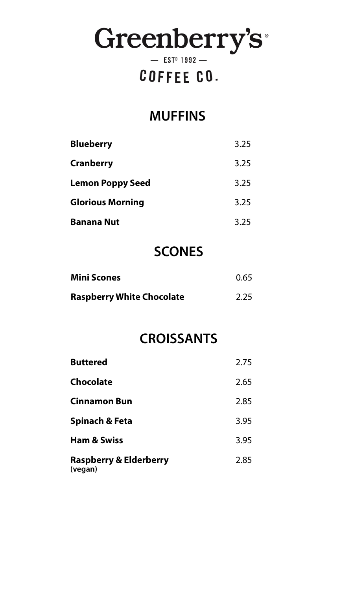# Greenberry's

 $-$  EST<sup>D</sup> 1992  $-$ 

# COFFEE CO.

## **MUFFINS**

| <b>Blueberry</b>        | 3.25 |
|-------------------------|------|
| <b>Cranberry</b>        | 3.25 |
| <b>Lemon Poppy Seed</b> | 3.25 |
| <b>Glorious Morning</b> | 3.25 |
| <b>Banana Nut</b>       | 3.25 |

## **SCONES**

| <b>Mini Scones</b>               | 0.65 |
|----------------------------------|------|
| <b>Raspberry White Chocolate</b> | 2.25 |

### **CROISSANTS**

| <b>Buttered</b>                              | 2.75 |
|----------------------------------------------|------|
| <b>Chocolate</b>                             | 2.65 |
| <b>Cinnamon Bun</b>                          | 2.85 |
| <b>Spinach &amp; Feta</b>                    | 3.95 |
| <b>Ham &amp; Swiss</b>                       | 3.95 |
| <b>Raspberry &amp; Elderberry</b><br>(vegan) | 2.85 |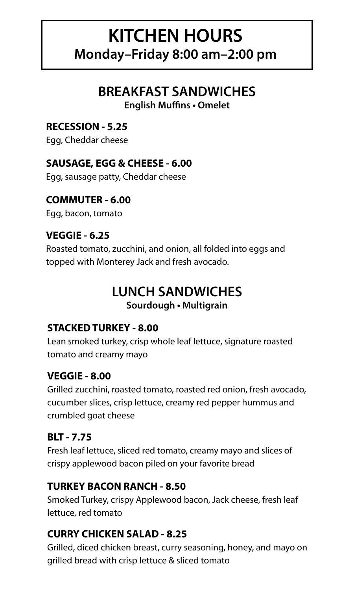# **KITCHEN HOURS Monday–Friday 8:00 am–2:00 pm**

## **BREAKFAST SANDWICHES**

**English Muffins • Omelet**

#### **RECESSION - 5.25**

Egg, Cheddar cheese

#### **SAUSAGE, EGG & CHEESE - 6.00**

Egg, sausage patty, Cheddar cheese

#### **COMMUTER - 6.00**

Egg, bacon, tomato

#### **VEGGIE - 6.25**

Roasted tomato, zucchini, and onion, all folded into eggs and topped with Monterey Jack and fresh avocado.

#### **LUNCH SANDWICHES Sourdough • Multigrain**

#### **STACKED TURKEY - 8.00**

Lean smoked turkey, crisp whole leaf lettuce, signature roasted tomato and creamy mayo

#### **VEGGIE - 8.00**

Grilled zucchini, roasted tomato, roasted red onion, fresh avocado, cucumber slices, crisp lettuce, creamy red pepper hummus and crumbled goat cheese

#### **BLT - 7.75**

Fresh leaf lettuce, sliced red tomato, creamy mayo and slices of crispy applewood bacon piled on your favorite bread

#### **TURKEY BACON RANCH - 8.50**

Smoked Turkey, crispy Applewood bacon, Jack cheese, fresh leaf lettuce, red tomato

#### **CURRY CHICKEN SALAD - 8.25**

Grilled, diced chicken breast, curry seasoning, honey, and mayo on grilled bread with crisp lettuce & sliced tomato